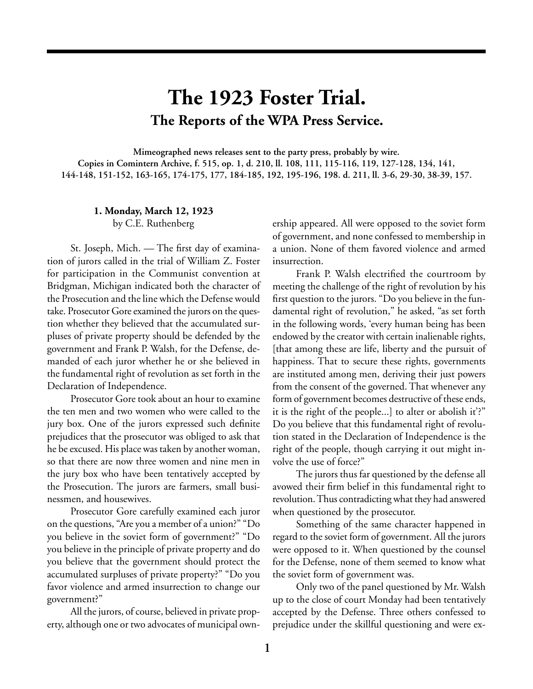# **The 1923 Foster Trial. The Reports of the WPA Press Service.**

**Mimeographed news releases sent to the party press, probably by wire. Copies in Comintern Archive, f. 515, op. 1, d. 210, ll. 108, 111, 115-116, 119, 127-128, 134, 141, 144-148, 151-152, 163-165, 174-175, 177, 184-185, 192, 195-196, 198. d. 211, ll. 3-6, 29-30, 38-39, 157.**

# **1. Monday, March 12, 1923**

by C.E. Ruthenberg

St. Joseph, Mich. — The first day of examination of jurors called in the trial of William Z. Foster for participation in the Communist convention at Bridgman, Michigan indicated both the character of the Prosecution and the line which the Defense would take. Prosecutor Gore examined the jurors on the question whether they believed that the accumulated surpluses of private property should be defended by the government and Frank P. Walsh, for the Defense, demanded of each juror whether he or she believed in the fundamental right of revolution as set forth in the Declaration of Independence.

Prosecutor Gore took about an hour to examine the ten men and two women who were called to the jury box. One of the jurors expressed such definite prejudices that the prosecutor was obliged to ask that he be excused. His place was taken by another woman, so that there are now three women and nine men in the jury box who have been tentatively accepted by the Prosecution. The jurors are farmers, small businessmen, and housewives.

Prosecutor Gore carefully examined each juror on the questions, "Are you a member of a union?" "Do you believe in the soviet form of government?" "Do you believe in the principle of private property and do you believe that the government should protect the accumulated surpluses of private property?" "Do you favor violence and armed insurrection to change our government?"

All the jurors, of course, believed in private property, although one or two advocates of municipal ownership appeared. All were opposed to the soviet form of government, and none confessed to membership in a union. None of them favored violence and armed insurrection.

Frank P. Walsh electrified the courtroom by meeting the challenge of the right of revolution by his first question to the jurors. "Do you believe in the fundamental right of revolution," he asked, "as set forth in the following words, 'every human being has been endowed by the creator with certain inalienable rights, [that among these are life, liberty and the pursuit of happiness. That to secure these rights, governments are instituted among men, deriving their just powers from the consent of the governed. That whenever any form of government becomes destructive of these ends, it is the right of the people...] to alter or abolish it'?" Do you believe that this fundamental right of revolution stated in the Declaration of Independence is the right of the people, though carrying it out might involve the use of force?"

The jurors thus far questioned by the defense all avowed their firm belief in this fundamental right to revolution. Thus contradicting what they had answered when questioned by the prosecutor.

Something of the same character happened in regard to the soviet form of government. All the jurors were opposed to it. When questioned by the counsel for the Defense, none of them seemed to know what the soviet form of government was.

Only two of the panel questioned by Mr. Walsh up to the close of court Monday had been tentatively accepted by the Defense. Three others confessed to prejudice under the skillful questioning and were ex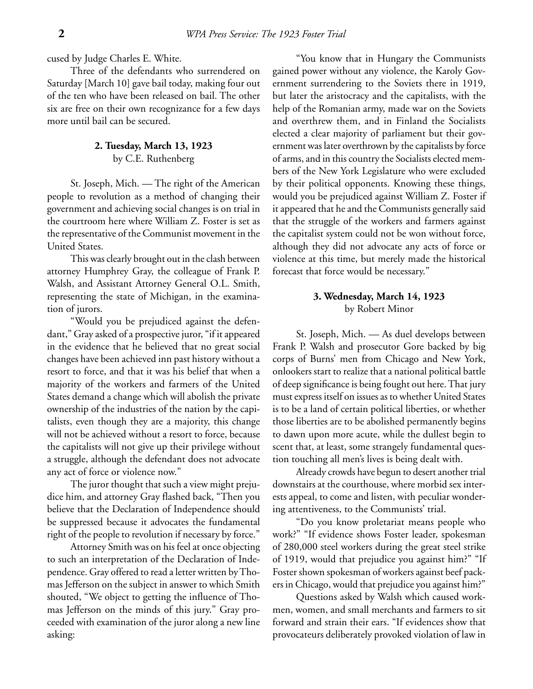cused by Judge Charles E. White.

Three of the defendants who surrendered on Saturday [March 10] gave bail today, making four out of the ten who have been released on bail. The other six are free on their own recognizance for a few days more until bail can be secured.

# **2. Tuesday, March 13, 1923** by C.E. Ruthenberg

St. Joseph, Mich. — The right of the American people to revolution as a method of changing their government and achieving social changes is on trial in the courtroom here where William Z. Foster is set as the representative of the Communist movement in the United States.

This was clearly brought out in the clash between attorney Humphrey Gray, the colleague of Frank P. Walsh, and Assistant Attorney General O.L. Smith, representing the state of Michigan, in the examination of jurors.

"Would you be prejudiced against the defendant," Gray asked of a prospective juror, "if it appeared in the evidence that he believed that no great social changes have been achieved inn past history without a resort to force, and that it was his belief that when a majority of the workers and farmers of the United States demand a change which will abolish the private ownership of the industries of the nation by the capitalists, even though they are a majority, this change will not be achieved without a resort to force, because the capitalists will not give up their privilege without a struggle, although the defendant does not advocate any act of force or violence now."

The juror thought that such a view might prejudice him, and attorney Gray flashed back, "Then you believe that the Declaration of Independence should be suppressed because it advocates the fundamental right of the people to revolution if necessary by force."

Attorney Smith was on his feel at once objecting to such an interpretation of the Declaration of Independence. Gray offered to read a letter written by Thomas Jefferson on the subject in answer to which Smith shouted, "We object to getting the influence of Thomas Jefferson on the minds of this jury." Gray proceeded with examination of the juror along a new line asking:

"You know that in Hungary the Communists gained power without any violence, the Karoly Government surrendering to the Soviets there in 1919, but later the aristocracy and the capitalists, with the help of the Romanian army, made war on the Soviets and overthrew them, and in Finland the Socialists elected a clear majority of parliament but their government was later overthrown by the capitalists by force of arms, and in this country the Socialists elected members of the New York Legislature who were excluded by their political opponents. Knowing these things, would you be prejudiced against William Z. Foster if it appeared that he and the Communists generally said that the struggle of the workers and farmers against the capitalist system could not be won without force, although they did not advocate any acts of force or violence at this time, but merely made the historical forecast that force would be necessary."

# **3. Wednesday, March 14, 1923** by Robert Minor

St. Joseph, Mich. — As duel develops between Frank P. Walsh and prosecutor Gore backed by big corps of Burns' men from Chicago and New York, onlookers start to realize that a national political battle of deep significance is being fought out here. That jury must express itself on issues as to whether United States is to be a land of certain political liberties, or whether those liberties are to be abolished permanently begins to dawn upon more acute, while the dullest begin to scent that, at least, some strangely fundamental question touching all men's lives is being dealt with.

Already crowds have begun to desert another trial downstairs at the courthouse, where morbid sex interests appeal, to come and listen, with peculiar wondering attentiveness, to the Communists' trial.

"Do you know proletariat means people who work?" "If evidence shows Foster leader, spokesman of 280,000 steel workers during the great steel strike of 1919, would that prejudice you against him?" "If Foster shown spokesman of workers against beef packers in Chicago, would that prejudice you against him?"

Questions asked by Walsh which caused workmen, women, and small merchants and farmers to sit forward and strain their ears. "If evidences show that provocateurs deliberately provoked violation of law in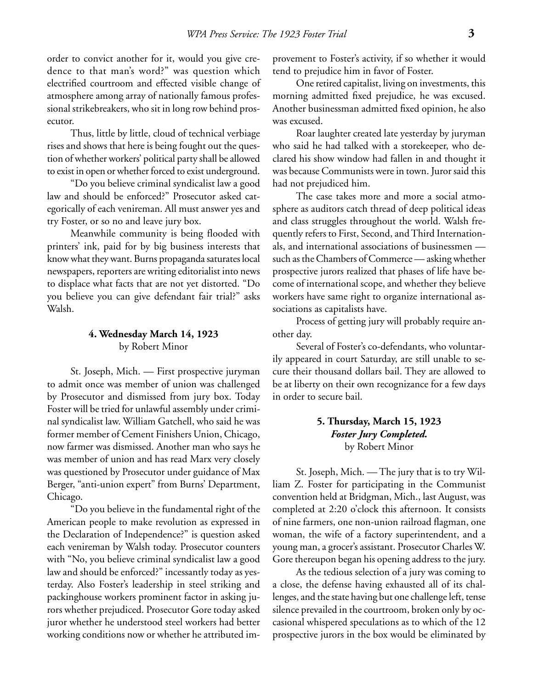order to convict another for it, would you give credence to that man's word?" was question which electrified courtroom and effected visible change of atmosphere among array of nationally famous professional strikebreakers, who sit in long row behind prosecutor.

Thus, little by little, cloud of technical verbiage rises and shows that here is being fought out the question of whether workers' political party shall be allowed to exist in open or whether forced to exist underground.

"Do you believe criminal syndicalist law a good law and should be enforced?" Prosecutor asked categorically of each venireman. All must answer yes and try Foster, or so no and leave jury box.

Meanwhile community is being flooded with printers' ink, paid for by big business interests that know what they want. Burns propaganda saturates local newspapers, reporters are writing editorialist into news to displace what facts that are not yet distorted. "Do you believe you can give defendant fair trial?" asks Walsh.

# **4. Wednesday March 14, 1923** by Robert Minor

St. Joseph, Mich. — First prospective juryman to admit once was member of union was challenged by Prosecutor and dismissed from jury box. Today Foster will be tried for unlawful assembly under criminal syndicalist law. William Gatchell, who said he was former member of Cement Finishers Union, Chicago, now farmer was dismissed. Another man who says he was member of union and has read Marx very closely was questioned by Prosecutor under guidance of Max Berger, "anti-union expert" from Burns' Department, Chicago.

"Do you believe in the fundamental right of the American people to make revolution as expressed in the Declaration of Independence?" is question asked each venireman by Walsh today. Prosecutor counters with "No, you believe criminal syndicalist law a good law and should be enforced?" incessantly today as yesterday. Also Foster's leadership in steel striking and packinghouse workers prominent factor in asking jurors whether prejudiced. Prosecutor Gore today asked juror whether he understood steel workers had better working conditions now or whether he attributed improvement to Foster's activity, if so whether it would tend to prejudice him in favor of Foster.

One retired capitalist, living on investments, this morning admitted fixed prejudice, he was excused. Another businessman admitted fixed opinion, he also was excused.

Roar laughter created late yesterday by juryman who said he had talked with a storekeeper, who declared his show window had fallen in and thought it was because Communists were in town. Juror said this had not prejudiced him.

The case takes more and more a social atmosphere as auditors catch thread of deep political ideas and class struggles throughout the world. Walsh frequently refers to First, Second, and Third Internationals, and international associations of businessmen such as the Chambers of Commerce — asking whether prospective jurors realized that phases of life have become of international scope, and whether they believe workers have same right to organize international associations as capitalists have.

Process of getting jury will probably require another day.

Several of Foster's co-defendants, who voluntarily appeared in court Saturday, are still unable to secure their thousand dollars bail. They are allowed to be at liberty on their own recognizance for a few days in order to secure bail.

# **5. Thursday, March 15, 1923** *Foster Jury Completed.* by Robert Minor

St. Joseph, Mich. — The jury that is to try William Z. Foster for participating in the Communist convention held at Bridgman, Mich., last August, was completed at 2:20 o'clock this afternoon. It consists of nine farmers, one non-union railroad flagman, one woman, the wife of a factory superintendent, and a young man, a grocer's assistant. Prosecutor Charles W. Gore thereupon began his opening address to the jury.

As the tedious selection of a jury was coming to a close, the defense having exhausted all of its challenges, and the state having but one challenge left, tense silence prevailed in the courtroom, broken only by occasional whispered speculations as to which of the 12 prospective jurors in the box would be eliminated by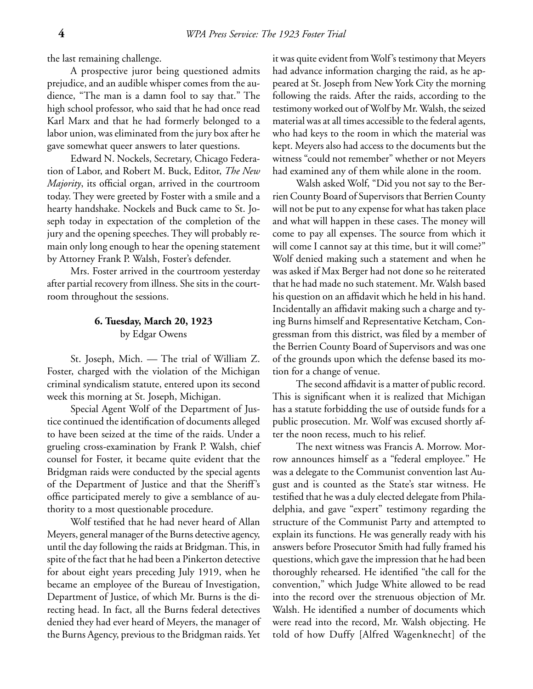the last remaining challenge.

A prospective juror being questioned admits prejudice, and an audible whisper comes from the audience, "The man is a damn fool to say that." The high school professor, who said that he had once read Karl Marx and that he had formerly belonged to a labor union, was eliminated from the jury box after he gave somewhat queer answers to later questions.

Edward N. Nockels, Secretary, Chicago Federation of Labor, and Robert M. Buck, Editor, *The New Majority*, its official organ, arrived in the courtroom today. They were greeted by Foster with a smile and a hearty handshake. Nockels and Buck came to St. Joseph today in expectation of the completion of the jury and the opening speeches. They will probably remain only long enough to hear the opening statement by Attorney Frank P. Walsh, Foster's defender.

Mrs. Foster arrived in the courtroom yesterday after partial recovery from illness. She sits in the courtroom throughout the sessions.

# **6. Tuesday, March 20, 1923** by Edgar Owens

St. Joseph, Mich. — The trial of William Z. Foster, charged with the violation of the Michigan criminal syndicalism statute, entered upon its second week this morning at St. Joseph, Michigan.

Special Agent Wolf of the Department of Justice continued the identification of documents alleged to have been seized at the time of the raids. Under a grueling cross-examination by Frank P. Walsh, chief counsel for Foster, it became quite evident that the Bridgman raids were conducted by the special agents of the Department of Justice and that the Sheriff's office participated merely to give a semblance of authority to a most questionable procedure.

Wolf testified that he had never heard of Allan Meyers, general manager of the Burns detective agency, until the day following the raids at Bridgman. This, in spite of the fact that he had been a Pinkerton detective for about eight years preceding July 1919, when he became an employee of the Bureau of Investigation, Department of Justice, of which Mr. Burns is the directing head. In fact, all the Burns federal detectives denied they had ever heard of Meyers, the manager of the Burns Agency, previous to the Bridgman raids. Yet it was quite evident from Wolf's testimony that Meyers had advance information charging the raid, as he appeared at St. Joseph from New York City the morning following the raids. After the raids, according to the testimony worked out of Wolf by Mr. Walsh, the seized material was at all times accessible to the federal agents, who had keys to the room in which the material was kept. Meyers also had access to the documents but the witness "could not remember" whether or not Meyers had examined any of them while alone in the room.

Walsh asked Wolf, "Did you not say to the Berrien County Board of Supervisors that Berrien County will not be put to any expense for what has taken place and what will happen in these cases. The money will come to pay all expenses. The source from which it will come I cannot say at this time, but it will come?" Wolf denied making such a statement and when he was asked if Max Berger had not done so he reiterated that he had made no such statement. Mr. Walsh based his question on an affidavit which he held in his hand. Incidentally an affidavit making such a charge and tying Burns himself and Representative Ketcham, Congressman from this district, was filed by a member of the Berrien County Board of Supervisors and was one of the grounds upon which the defense based its motion for a change of venue.

The second affidavit is a matter of public record. This is significant when it is realized that Michigan has a statute forbidding the use of outside funds for a public prosecution. Mr. Wolf was excused shortly after the noon recess, much to his relief.

The next witness was Francis A. Morrow. Morrow announces himself as a "federal employee." He was a delegate to the Communist convention last August and is counted as the State's star witness. He testified that he was a duly elected delegate from Philadelphia, and gave "expert" testimony regarding the structure of the Communist Party and attempted to explain its functions. He was generally ready with his answers before Prosecutor Smith had fully framed his questions, which gave the impression that he had been thoroughly rehearsed. He identified "the call for the convention," which Judge White allowed to be read into the record over the strenuous objection of Mr. Walsh. He identified a number of documents which were read into the record, Mr. Walsh objecting. He told of how Duffy [Alfred Wagenknecht] of the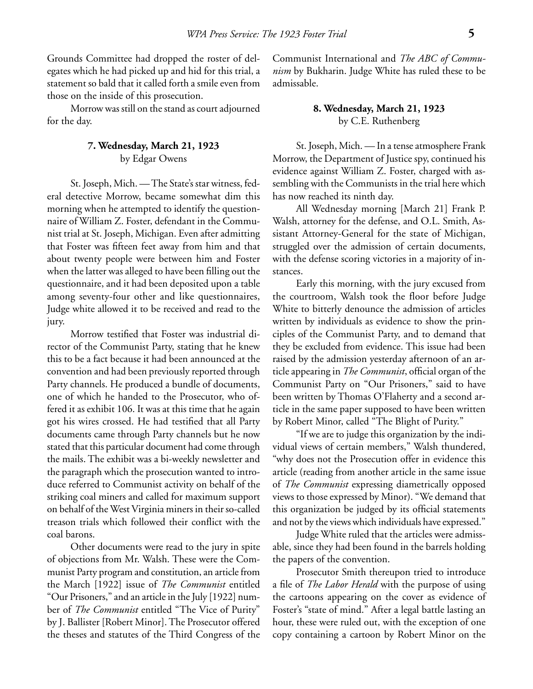Grounds Committee had dropped the roster of delegates which he had picked up and hid for this trial, a statement so bald that it called forth a smile even from those on the inside of this prosecution.

Morrow was still on the stand as court adjourned for the day.

### **7. Wednesday, March 21, 1923** by Edgar Owens

St. Joseph, Mich. — The State's star witness, federal detective Morrow, became somewhat dim this morning when he attempted to identify the questionnaire of William Z. Foster, defendant in the Communist trial at St. Joseph, Michigan. Even after admitting that Foster was fifteen feet away from him and that about twenty people were between him and Foster when the latter was alleged to have been filling out the questionnaire, and it had been deposited upon a table among seventy-four other and like questionnaires, Judge white allowed it to be received and read to the jury.

Morrow testified that Foster was industrial director of the Communist Party, stating that he knew this to be a fact because it had been announced at the convention and had been previously reported through Party channels. He produced a bundle of documents, one of which he handed to the Prosecutor, who offered it as exhibit 106. It was at this time that he again got his wires crossed. He had testified that all Party documents came through Party channels but he now stated that this particular document had come through the mails. The exhibit was a bi-weekly newsletter and the paragraph which the prosecution wanted to introduce referred to Communist activity on behalf of the striking coal miners and called for maximum support on behalf of the West Virginia miners in their so-called treason trials which followed their conflict with the coal barons.

Other documents were read to the jury in spite of objections from Mr. Walsh. These were the Communist Party program and constitution, an article from the March [1922] issue of *The Communist* entitled "Our Prisoners," and an article in the July [1922] number of *The Communist* entitled "The Vice of Purity" by J. Ballister [Robert Minor]. The Prosecutor offered the theses and statutes of the Third Congress of the Communist International and *The ABC of Communism* by Bukharin. Judge White has ruled these to be admissable.

# **8. Wednesday, March 21, 1923** by C.E. Ruthenberg

St. Joseph, Mich. — In a tense atmosphere Frank Morrow, the Department of Justice spy, continued his evidence against William Z. Foster, charged with assembling with the Communists in the trial here which has now reached its ninth day.

All Wednesday morning [March 21] Frank P. Walsh, attorney for the defense, and O.L. Smith, Assistant Attorney-General for the state of Michigan, struggled over the admission of certain documents, with the defense scoring victories in a majority of instances.

Early this morning, with the jury excused from the courtroom, Walsh took the floor before Judge White to bitterly denounce the admission of articles written by individuals as evidence to show the principles of the Communist Party, and to demand that they be excluded from evidence. This issue had been raised by the admission yesterday afternoon of an article appearing in *The Communist*, official organ of the Communist Party on "Our Prisoners," said to have been written by Thomas O'Flaherty and a second article in the same paper supposed to have been written by Robert Minor, called "The Blight of Purity."

"If we are to judge this organization by the individual views of certain members," Walsh thundered, "why does not the Prosecution offer in evidence this article (reading from another article in the same issue of *The Communist* expressing diametrically opposed views to those expressed by Minor). "We demand that this organization be judged by its official statements and not by the views which individuals have expressed."

Judge White ruled that the articles were admissable, since they had been found in the barrels holding the papers of the convention.

Prosecutor Smith thereupon tried to introduce a file of *The Labor Herald* with the purpose of using the cartoons appearing on the cover as evidence of Foster's "state of mind." After a legal battle lasting an hour, these were ruled out, with the exception of one copy containing a cartoon by Robert Minor on the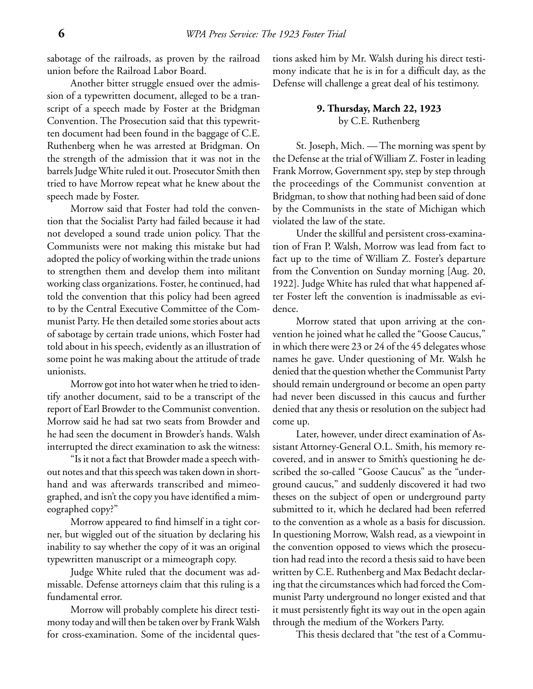sabotage of the railroads, as proven by the railroad union before the Railroad Labor Board.

Another bitter struggle ensued over the admission of a typewritten document, alleged to be a transcript of a speech made by Foster at the Bridgman Convention. The Prosecution said that this typewritten document had been found in the baggage of C.E. Ruthenberg when he was arrested at Bridgman. On the strength of the admission that it was not in the barrels Judge White ruled it out. Prosecutor Smith then tried to have Morrow repeat what he knew about the speech made by Foster.

Morrow said that Foster had told the convention that the Socialist Party had failed because it had not developed a sound trade union policy. That the Communists were not making this mistake but had adopted the policy of working within the trade unions to strengthen them and develop them into militant working class organizations. Foster, he continued, had told the convention that this policy had been agreed to by the Central Executive Committee of the Communist Party. He then detailed some stories about acts of sabotage by certain trade unions, which Foster had told about in his speech, evidently as an illustration of some point he was making about the attitude of trade unionists.

Morrow got into hot water when he tried to identify another document, said to be a transcript of the report of Earl Browder to the Communist convention. Morrow said he had sat two seats from Browder and he had seen the document in Browder's hands. Walsh interrupted the direct examination to ask the witness:

"Is it not a fact that Browder made a speech without notes and that this speech was taken down in shorthand and was afterwards transcribed and mimeographed, and isn't the copy you have identified a mimeographed copy?"

Morrow appeared to find himself in a tight corner, but wiggled out of the situation by declaring his inability to say whether the copy of it was an original typewritten manuscript or a mimeograph copy.

Judge White ruled that the document was admissable. Defense attorneys claim that this ruling is a fundamental error.

Morrow will probably complete his direct testimony today and will then be taken over by Frank Walsh for cross-examination. Some of the incidental questions asked him by Mr. Walsh during his direct testimony indicate that he is in for a difficult day, as the Defense will challenge a great deal of his testimony.

# **9. Thursday, March 22, 1923** by C.E. Ruthenberg

St. Joseph, Mich. — The morning was spent by the Defense at the trial of William Z. Foster in leading Frank Morrow, Government spy, step by step through the proceedings of the Communist convention at Bridgman, to show that nothing had been said of done by the Communists in the state of Michigan which violated the law of the state.

Under the skillful and persistent cross-examination of Fran P. Walsh, Morrow was lead from fact to fact up to the time of William Z. Foster's departure from the Convention on Sunday morning [Aug. 20, 1922]. Judge White has ruled that what happened after Foster left the convention is inadmissable as evidence.

Morrow stated that upon arriving at the convention he joined what he called the "Goose Caucus," in which there were 23 or 24 of the 45 delegates whose names he gave. Under questioning of Mr. Walsh he denied that the question whether the Communist Party should remain underground or become an open party had never been discussed in this caucus and further denied that any thesis or resolution on the subject had come up.

Later, however, under direct examination of Assistant Attorney-General O.L. Smith, his memory recovered, and in answer to Smith's questioning he described the so-called "Goose Caucus" as the "underground caucus," and suddenly discovered it had two theses on the subject of open or underground party submitted to it, which he declared had been referred to the convention as a whole as a basis for discussion. In questioning Morrow, Walsh read, as a viewpoint in the convention opposed to views which the prosecution had read into the record a thesis said to have been written by C.E. Ruthenberg and Max Bedacht declaring that the circumstances which had forced the Communist Party underground no longer existed and that it must persistently fight its way out in the open again through the medium of the Workers Party.

This thesis declared that "the test of a Commu-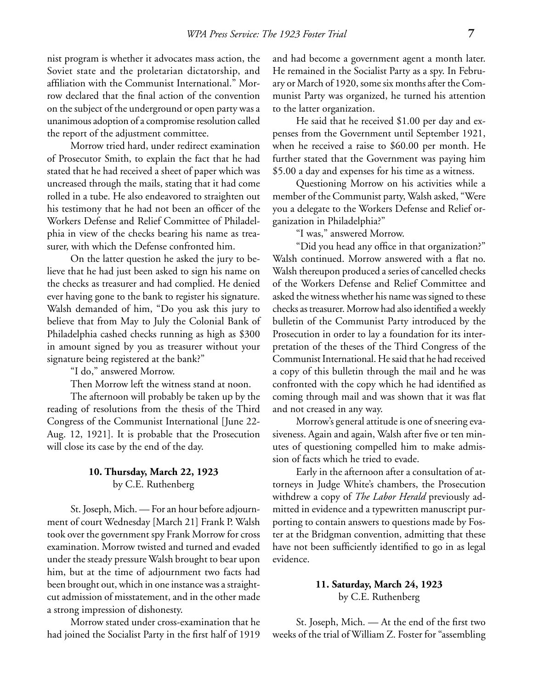nist program is whether it advocates mass action, the Soviet state and the proletarian dictatorship, and affiliation with the Communist International." Morrow declared that the final action of the convention on the subject of the underground or open party was a unanimous adoption of a compromise resolution called the report of the adjustment committee.

Morrow tried hard, under redirect examination of Prosecutor Smith, to explain the fact that he had stated that he had received a sheet of paper which was uncreased through the mails, stating that it had come rolled in a tube. He also endeavored to straighten out his testimony that he had not been an officer of the Workers Defense and Relief Committee of Philadelphia in view of the checks bearing his name as treasurer, with which the Defense confronted him.

On the latter question he asked the jury to believe that he had just been asked to sign his name on the checks as treasurer and had complied. He denied ever having gone to the bank to register his signature. Walsh demanded of him, "Do you ask this jury to believe that from May to July the Colonial Bank of Philadelphia cashed checks running as high as \$300 in amount signed by you as treasurer without your signature being registered at the bank?"

"I do," answered Morrow.

Then Morrow left the witness stand at noon.

The afternoon will probably be taken up by the reading of resolutions from the thesis of the Third Congress of the Communist International [June 22- Aug. 12, 1921]. It is probable that the Prosecution will close its case by the end of the day.

# **10. Thursday, March 22, 1923** by C.E. Ruthenberg

St. Joseph, Mich. — For an hour before adjournment of court Wednesday [March 21] Frank P. Walsh took over the government spy Frank Morrow for cross examination. Morrow twisted and turned and evaded under the steady pressure Walsh brought to bear upon him, but at the time of adjournment two facts had been brought out, which in one instance was a straightcut admission of misstatement, and in the other made a strong impression of dishonesty.

Morrow stated under cross-examination that he had joined the Socialist Party in the first half of 1919 and had become a government agent a month later. He remained in the Socialist Party as a spy. In February or March of 1920, some six months after the Communist Party was organized, he turned his attention to the latter organization.

He said that he received \$1.00 per day and expenses from the Government until September 1921, when he received a raise to \$60.00 per month. He further stated that the Government was paying him \$5.00 a day and expenses for his time as a witness.

Questioning Morrow on his activities while a member of the Communist party, Walsh asked, "Were you a delegate to the Workers Defense and Relief organization in Philadelphia?"

"I was," answered Morrow.

"Did you head any office in that organization?" Walsh continued. Morrow answered with a flat no. Walsh thereupon produced a series of cancelled checks of the Workers Defense and Relief Committee and asked the witness whether his name was signed to these checks as treasurer. Morrow had also identified a weekly bulletin of the Communist Party introduced by the Prosecution in order to lay a foundation for its interpretation of the theses of the Third Congress of the Communist International. He said that he had received a copy of this bulletin through the mail and he was confronted with the copy which he had identified as coming through mail and was shown that it was flat and not creased in any way.

Morrow's general attitude is one of sneering evasiveness. Again and again, Walsh after five or ten minutes of questioning compelled him to make admission of facts which he tried to evade.

Early in the afternoon after a consultation of attorneys in Judge White's chambers, the Prosecution withdrew a copy of *The Labor Herald* previously admitted in evidence and a typewritten manuscript purporting to contain answers to questions made by Foster at the Bridgman convention, admitting that these have not been sufficiently identified to go in as legal evidence.

# **11. Saturday, March 24, 1923** by C.E. Ruthenberg

St. Joseph, Mich. — At the end of the first two weeks of the trial of William Z. Foster for "assembling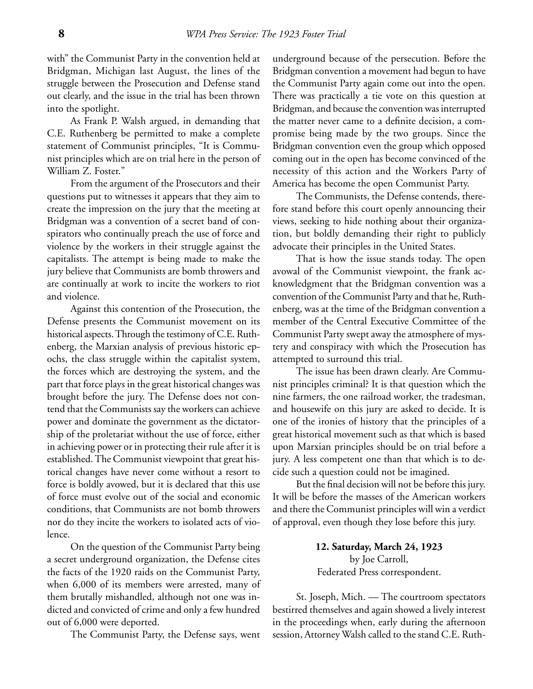with" the Communist Party in the convention held at Bridgman, Michigan last August, the lines of the struggle between the Prosecution and Defense stand out clearly, and the issue in the trial has been thrown into the spotlight.

As Frank P. Walsh argued, in demanding that C.E. Ruthenberg be permitted to make a complete statement of Communist principles, "It is Communist principles which are on trial here in the person of William Z. Foster."

From the argument of the Prosecutors and their questions put to witnesses it appears that they aim to create the impression on the jury that the meeting at Bridgman was a convention of a secret band of conspirators who continually preach the use of force and violence by the workers in their struggle against the capitalists. The attempt is being made to make the jury believe that Communists are bomb throwers and are continually at work to incite the workers to riot and violence.

Against this contention of the Prosecution, the Defense presents the Communist movement on its historical aspects. Through the testimony of C.E. Ruthenberg, the Marxian analysis of previous historic epochs, the class struggle within the capitalist system, the forces which are destroying the system, and the part that force plays in the great historical changes was brought before the jury. The Defense does not contend that the Communists say the workers can achieve power and dominate the government as the dictatorship of the proletariat without the use of force, either in achieving power or in protecting their rule after it is established. The Communist viewpoint that great historical changes have never come without a resort to force is boldly avowed, but it is declared that this use of force must evolve out of the social and economic conditions, that Communists are not bomb throwers nor do they incite the workers to isolated acts of violence.

On the question of the Communist Party being a secret underground organization, the Defense cites the facts of the 1920 raids on the Communist Party, when 6,000 of its members were arrested, many of them brutally mishandled, although not one was indicted and convicted of crime and only a few hundred out of 6,000 were deported.

The Communist Party, the Defense says, went

underground because of the persecution. Before the Bridgman convention a movement had begun to have the Communist Party again come out into the open. There was practically a tie vote on this question at Bridgman, and because the convention was interrupted the matter never came to a definite decision, a compromise being made by the two groups. Since the Bridgman convention even the group which opposed coming out in the open has become convinced of the necessity of this action and the Workers Party of America has become the open Communist Party.

The Communists, the Defense contends, therefore stand before this court openly announcing their views, seeking to hide nothing about their organization, but boldly demanding their right to publicly advocate their principles in the United States.

That is how the issue stands today. The open avowal of the Communist viewpoint, the frank acknowledgment that the Bridgman convention was a convention of the Communist Party and that he, Ruthenberg, was at the time of the Bridgman convention a member of the Central Executive Committee of the Communist Party swept away the atmosphere of mystery and conspiracy with which the Prosecution has attempted to surround this trial.

The issue has been drawn clearly. Are Communist principles criminal? It is that question which the nine farmers, the one railroad worker, the tradesman, and housewife on this jury are asked to decide. It is one of the ironies of history that the principles of a great historical movement such as that which is based upon Marxian principles should be on trial before a jury. A less competent one than that which is to decide such a question could not be imagined.

But the final decision will not be before this jury. It will be before the masses of the American workers and there the Communist principles will win a verdict of approval, even though they lose before this jury.

> **12. Saturday, March 24, 1923** by Joe Carroll, Federated Press correspondent.

St. Joseph, Mich. — The courtroom spectators bestirred themselves and again showed a lively interest in the proceedings when, early during the afternoon session, Attorney Walsh called to the stand C.E. Ruth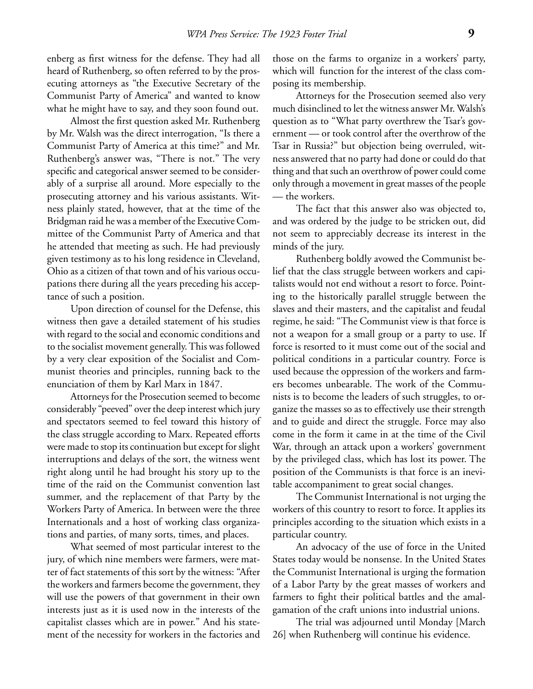enberg as first witness for the defense. They had all heard of Ruthenberg, so often referred to by the prosecuting attorneys as "the Executive Secretary of the Communist Party of America" and wanted to know what he might have to say, and they soon found out.

Almost the first question asked Mr. Ruthenberg by Mr. Walsh was the direct interrogation, "Is there a Communist Party of America at this time?" and Mr. Ruthenberg's answer was, "There is not." The very specific and categorical answer seemed to be considerably of a surprise all around. More especially to the prosecuting attorney and his various assistants. Witness plainly stated, however, that at the time of the Bridgman raid he was a member of the Executive Committee of the Communist Party of America and that he attended that meeting as such. He had previously given testimony as to his long residence in Cleveland, Ohio as a citizen of that town and of his various occupations there during all the years preceding his acceptance of such a position.

Upon direction of counsel for the Defense, this witness then gave a detailed statement of his studies with regard to the social and economic conditions and to the socialist movement generally. This was followed by a very clear exposition of the Socialist and Communist theories and principles, running back to the enunciation of them by Karl Marx in 1847.

Attorneys for the Prosecution seemed to become considerably "peeved" over the deep interest which jury and spectators seemed to feel toward this history of the class struggle according to Marx. Repeated efforts were made to stop its continuation but except for slight interruptions and delays of the sort, the witness went right along until he had brought his story up to the time of the raid on the Communist convention last summer, and the replacement of that Party by the Workers Party of America. In between were the three Internationals and a host of working class organizations and parties, of many sorts, times, and places.

What seemed of most particular interest to the jury, of which nine members were farmers, were matter of fact statements of this sort by the witness: "After the workers and farmers become the government, they will use the powers of that government in their own interests just as it is used now in the interests of the capitalist classes which are in power." And his statement of the necessity for workers in the factories and those on the farms to organize in a workers' party, which will function for the interest of the class composing its membership.

Attorneys for the Prosecution seemed also very much disinclined to let the witness answer Mr. Walsh's question as to "What party overthrew the Tsar's government — or took control after the overthrow of the Tsar in Russia?" but objection being overruled, witness answered that no party had done or could do that thing and that such an overthrow of power could come only through a movement in great masses of the people — the workers.

The fact that this answer also was objected to, and was ordered by the judge to be stricken out, did not seem to appreciably decrease its interest in the minds of the jury.

Ruthenberg boldly avowed the Communist belief that the class struggle between workers and capitalists would not end without a resort to force. Pointing to the historically parallel struggle between the slaves and their masters, and the capitalist and feudal regime, he said: "The Communist view is that force is not a weapon for a small group or a party to use. If force is resorted to it must come out of the social and political conditions in a particular country. Force is used because the oppression of the workers and farmers becomes unbearable. The work of the Communists is to become the leaders of such struggles, to organize the masses so as to effectively use their strength and to guide and direct the struggle. Force may also come in the form it came in at the time of the Civil War, through an attack upon a workers' government by the privileged class, which has lost its power. The position of the Communists is that force is an inevitable accompaniment to great social changes.

The Communist International is not urging the workers of this country to resort to force. It applies its principles according to the situation which exists in a particular country.

An advocacy of the use of force in the United States today would be nonsense. In the United States the Communist International is urging the formation of a Labor Party by the great masses of workers and farmers to fight their political battles and the amalgamation of the craft unions into industrial unions.

The trial was adjourned until Monday [March 26] when Ruthenberg will continue his evidence.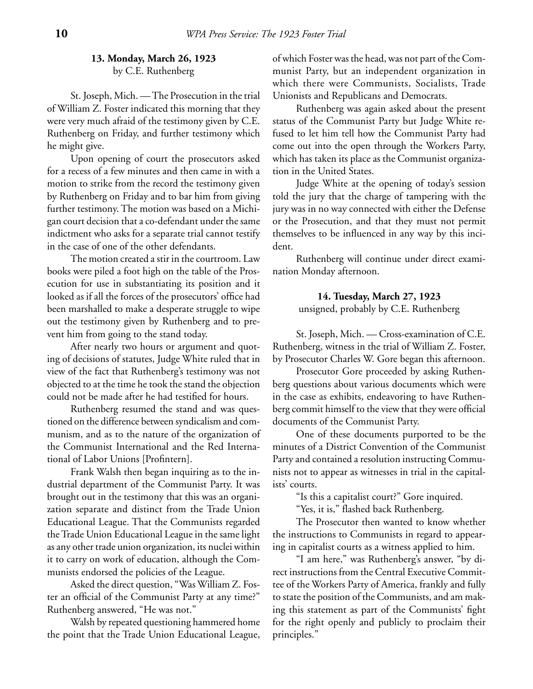# **13. Monday, March 26, 1923** by C.E. Ruthenberg

St. Joseph, Mich. — The Prosecution in the trial of William Z. Foster indicated this morning that they were very much afraid of the testimony given by C.E. Ruthenberg on Friday, and further testimony which he might give.

Upon opening of court the prosecutors asked for a recess of a few minutes and then came in with a motion to strike from the record the testimony given by Ruthenberg on Friday and to bar him from giving further testimony. The motion was based on a Michigan court decision that a co-defendant under the same indictment who asks for a separate trial cannot testify in the case of one of the other defendants.

The motion created a stir in the courtroom. Law books were piled a foot high on the table of the Prosecution for use in substantiating its position and it looked as if all the forces of the prosecutors' office had been marshalled to make a desperate struggle to wipe out the testimony given by Ruthenberg and to prevent him from going to the stand today.

After nearly two hours or argument and quoting of decisions of statutes, Judge White ruled that in view of the fact that Ruthenberg's testimony was not objected to at the time he took the stand the objection could not be made after he had testified for hours.

Ruthenberg resumed the stand and was questioned on the difference between syndicalism and communism, and as to the nature of the organization of the Communist International and the Red International of Labor Unions [Profintern].

Frank Walsh then began inquiring as to the industrial department of the Communist Party. It was brought out in the testimony that this was an organization separate and distinct from the Trade Union Educational League. That the Communists regarded the Trade Union Educational League in the same light as any other trade union organization, its nuclei within it to carry on work of education, although the Communists endorsed the policies of the League.

Asked the direct question, "Was William Z. Foster an official of the Communist Party at any time?" Ruthenberg answered, "He was not."

Walsh by repeated questioning hammered home the point that the Trade Union Educational League,

of which Foster was the head, was not part of the Communist Party, but an independent organization in which there were Communists, Socialists, Trade Unionists and Republicans and Democrats.

Ruthenberg was again asked about the present status of the Communist Party but Judge White refused to let him tell how the Communist Party had come out into the open through the Workers Party, which has taken its place as the Communist organization in the United States.

Judge White at the opening of today's session told the jury that the charge of tampering with the jury was in no way connected with either the Defense or the Prosecution, and that they must not permit themselves to be influenced in any way by this incident.

Ruthenberg will continue under direct examination Monday afternoon.

> **14. Tuesday, March 27, 1923** unsigned, probably by C.E. Ruthenberg

St. Joseph, Mich. — Cross-examination of C.E. Ruthenberg, witness in the trial of William Z. Foster, by Prosecutor Charles W. Gore began this afternoon.

Prosecutor Gore proceeded by asking Ruthenberg questions about various documents which were in the case as exhibits, endeavoring to have Ruthenberg commit himself to the view that they were official documents of the Communist Party.

One of these documents purported to be the minutes of a District Convention of the Communist Party and contained a resolution instructing Communists not to appear as witnesses in trial in the capitalists' courts.

"Is this a capitalist court?" Gore inquired.

"Yes, it is," flashed back Ruthenberg.

The Prosecutor then wanted to know whether the instructions to Communists in regard to appearing in capitalist courts as a witness applied to him.

"I am here," was Ruthenberg's answer, "by direct instructions from the Central Executive Committee of the Workers Party of America, frankly and fully to state the position of the Communists, and am making this statement as part of the Communists' fight for the right openly and publicly to proclaim their principles."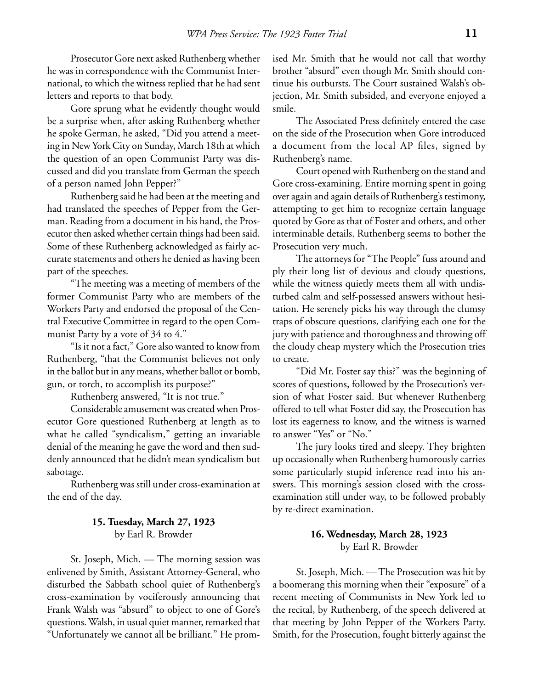Prosecutor Gore next asked Ruthenberg whether he was in correspondence with the Communist International, to which the witness replied that he had sent letters and reports to that body.

Gore sprung what he evidently thought would be a surprise when, after asking Ruthenberg whether he spoke German, he asked, "Did you attend a meeting in New York City on Sunday, March 18th at which the question of an open Communist Party was discussed and did you translate from German the speech of a person named John Pepper?"

Ruthenberg said he had been at the meeting and had translated the speeches of Pepper from the German. Reading from a document in his hand, the Prosecutor then asked whether certain things had been said. Some of these Ruthenberg acknowledged as fairly accurate statements and others he denied as having been part of the speeches.

"The meeting was a meeting of members of the former Communist Party who are members of the Workers Party and endorsed the proposal of the Central Executive Committee in regard to the open Communist Party by a vote of 34 to 4."

"Is it not a fact," Gore also wanted to know from Ruthenberg, "that the Communist believes not only in the ballot but in any means, whether ballot or bomb, gun, or torch, to accomplish its purpose?"

Ruthenberg answered, "It is not true."

Considerable amusement was created when Prosecutor Gore questioned Ruthenberg at length as to what he called "syndicalism," getting an invariable denial of the meaning he gave the word and then suddenly announced that he didn't mean syndicalism but sabotage.

Ruthenberg was still under cross-examination at the end of the day.

# **15. Tuesday, March 27, 1923** by Earl R. Browder

St. Joseph, Mich. — The morning session was enlivened by Smith, Assistant Attorney-General, who disturbed the Sabbath school quiet of Ruthenberg's cross-examination by vociferously announcing that Frank Walsh was "absurd" to object to one of Gore's questions. Walsh, in usual quiet manner, remarked that "Unfortunately we cannot all be brilliant." He promised Mr. Smith that he would not call that worthy brother "absurd" even though Mr. Smith should continue his outbursts. The Court sustained Walsh's objection, Mr. Smith subsided, and everyone enjoyed a smile.

The Associated Press definitely entered the case on the side of the Prosecution when Gore introduced a document from the local AP files, signed by Ruthenberg's name.

Court opened with Ruthenberg on the stand and Gore cross-examining. Entire morning spent in going over again and again details of Ruthenberg's testimony, attempting to get him to recognize certain language quoted by Gore as that of Foster and others, and other interminable details. Ruthenberg seems to bother the Prosecution very much.

The attorneys for "The People" fuss around and ply their long list of devious and cloudy questions, while the witness quietly meets them all with undisturbed calm and self-possessed answers without hesitation. He serenely picks his way through the clumsy traps of obscure questions, clarifying each one for the jury with patience and thoroughness and throwing off the cloudy cheap mystery which the Prosecution tries to create.

"Did Mr. Foster say this?" was the beginning of scores of questions, followed by the Prosecution's version of what Foster said. But whenever Ruthenberg offered to tell what Foster did say, the Prosecution has lost its eagerness to know, and the witness is warned to answer "Yes" or "No."

The jury looks tired and sleepy. They brighten up occasionally when Ruthenberg humorously carries some particularly stupid inference read into his answers. This morning's session closed with the crossexamination still under way, to be followed probably by re-direct examination.

# **16. Wednesday, March 28, 1923** by Earl R. Browder

St. Joseph, Mich. — The Prosecution was hit by a boomerang this morning when their "exposure" of a recent meeting of Communists in New York led to the recital, by Ruthenberg, of the speech delivered at that meeting by John Pepper of the Workers Party. Smith, for the Prosecution, fought bitterly against the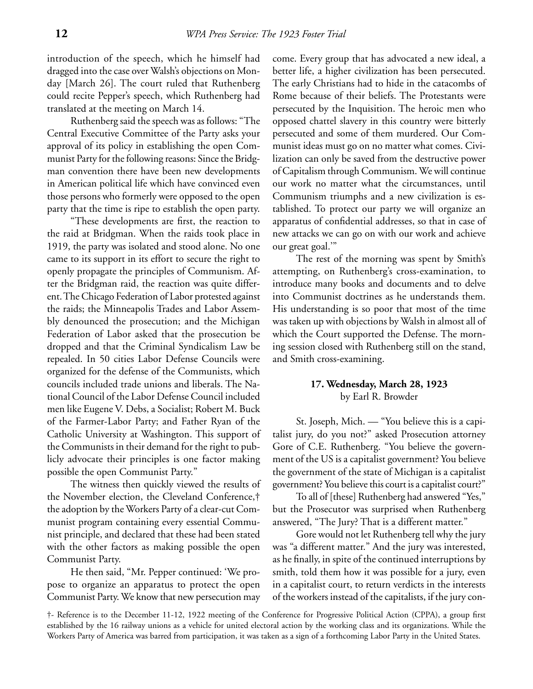introduction of the speech, which he himself had dragged into the case over Walsh's objections on Monday [March 26]. The court ruled that Ruthenberg could recite Pepper's speech, which Ruthenberg had translated at the meeting on March 14.

Ruthenberg said the speech was as follows: "The Central Executive Committee of the Party asks your approval of its policy in establishing the open Communist Party for the following reasons: Since the Bridgman convention there have been new developments in American political life which have convinced even those persons who formerly were opposed to the open party that the time is ripe to establish the open party.

"These developments are first, the reaction to the raid at Bridgman. When the raids took place in 1919, the party was isolated and stood alone. No one came to its support in its effort to secure the right to openly propagate the principles of Communism. After the Bridgman raid, the reaction was quite different. The Chicago Federation of Labor protested against the raids; the Minneapolis Trades and Labor Assembly denounced the prosecution; and the Michigan Federation of Labor asked that the prosecution be dropped and that the Criminal Syndicalism Law be repealed. In 50 cities Labor Defense Councils were organized for the defense of the Communists, which councils included trade unions and liberals. The National Council of the Labor Defense Council included men like Eugene V. Debs, a Socialist; Robert M. Buck of the Farmer-Labor Party; and Father Ryan of the Catholic University at Washington. This support of the Communists in their demand for the right to publicly advocate their principles is one factor making possible the open Communist Party."

The witness then quickly viewed the results of the November election, the Cleveland Conference,† the adoption by the Workers Party of a clear-cut Communist program containing every essential Communist principle, and declared that these had been stated with the other factors as making possible the open Communist Party.

He then said, "Mr. Pepper continued: 'We propose to organize an apparatus to protect the open Communist Party. We know that new persecution may come. Every group that has advocated a new ideal, a better life, a higher civilization has been persecuted. The early Christians had to hide in the catacombs of Rome because of their beliefs. The Protestants were persecuted by the Inquisition. The heroic men who opposed chattel slavery in this country were bitterly persecuted and some of them murdered. Our Communist ideas must go on no matter what comes. Civilization can only be saved from the destructive power of Capitalism through Communism. We will continue our work no matter what the circumstances, until Communism triumphs and a new civilization is established. To protect our party we will organize an apparatus of confidential addresses, so that in case of new attacks we can go on with our work and achieve our great goal.'"

The rest of the morning was spent by Smith's attempting, on Ruthenberg's cross-examination, to introduce many books and documents and to delve into Communist doctrines as he understands them. His understanding is so poor that most of the time was taken up with objections by Walsh in almost all of which the Court supported the Defense. The morning session closed with Ruthenberg still on the stand, and Smith cross-examining.

# **17. Wednesday, March 28, 1923** by Earl R. Browder

St. Joseph, Mich. — "You believe this is a capitalist jury, do you not?" asked Prosecution attorney Gore of C.E. Ruthenberg. "You believe the government of the US is a capitalist government? You believe the government of the state of Michigan is a capitalist government? You believe this court is a capitalist court?"

To all of [these] Ruthenberg had answered "Yes," but the Prosecutor was surprised when Ruthenberg answered, "The Jury? That is a different matter."

Gore would not let Ruthenberg tell why the jury was "a different matter." And the jury was interested, as he finally, in spite of the continued interruptions by smith, told them how it was possible for a jury, even in a capitalist court, to return verdicts in the interests of the workers instead of the capitalists, if the jury con-

†- Reference is to the December 11-12, 1922 meeting of the Conference for Progressive Political Action (CPPA), a group first established by the 16 railway unions as a vehicle for united electoral action by the working class and its organizations. While the Workers Party of America was barred from participation, it was taken as a sign of a forthcoming Labor Party in the United States.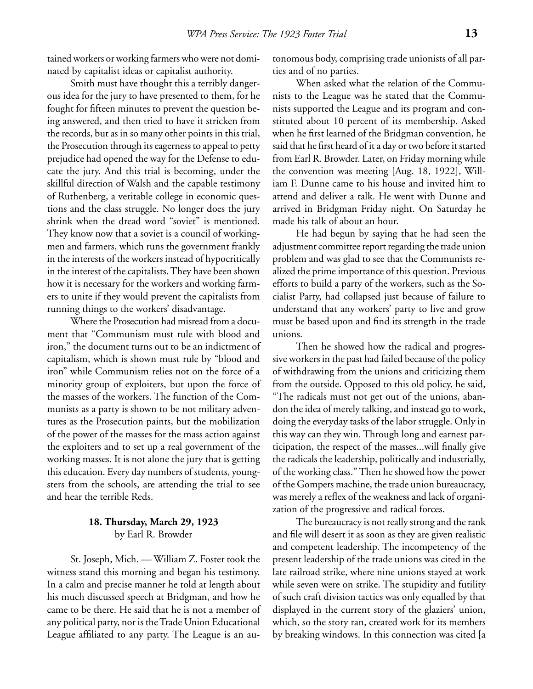tained workers or working farmers who were not dominated by capitalist ideas or capitalist authority.

Smith must have thought this a terribly dangerous idea for the jury to have presented to them, for he fought for fifteen minutes to prevent the question being answered, and then tried to have it stricken from the records, but as in so many other points in this trial, the Prosecution through its eagerness to appeal to petty prejudice had opened the way for the Defense to educate the jury. And this trial is becoming, under the skillful direction of Walsh and the capable testimony of Ruthenberg, a veritable college in economic questions and the class struggle. No longer does the jury shrink when the dread word "soviet" is mentioned. They know now that a soviet is a council of workingmen and farmers, which runs the government frankly in the interests of the workers instead of hypocritically in the interest of the capitalists. They have been shown how it is necessary for the workers and working farmers to unite if they would prevent the capitalists from running things to the workers' disadvantage.

Where the Prosecution had misread from a document that "Communism must rule with blood and iron," the document turns out to be an indictment of capitalism, which is shown must rule by "blood and iron" while Communism relies not on the force of a minority group of exploiters, but upon the force of the masses of the workers. The function of the Communists as a party is shown to be not military adventures as the Prosecution paints, but the mobilization of the power of the masses for the mass action against the exploiters and to set up a real government of the working masses. It is not alone the jury that is getting this education. Every day numbers of students, youngsters from the schools, are attending the trial to see and hear the terrible Reds.

# **18. Thursday, March 29, 1923** by Earl R. Browder

St. Joseph, Mich. — William Z. Foster took the witness stand this morning and began his testimony. In a calm and precise manner he told at length about his much discussed speech at Bridgman, and how he came to be there. He said that he is not a member of any political party, nor is the Trade Union Educational League affiliated to any party. The League is an autonomous body, comprising trade unionists of all parties and of no parties.

When asked what the relation of the Communists to the League was he stated that the Communists supported the League and its program and constituted about 10 percent of its membership. Asked when he first learned of the Bridgman convention, he said that he first heard of it a day or two before it started from Earl R. Browder. Later, on Friday morning while the convention was meeting [Aug. 18, 1922], William F. Dunne came to his house and invited him to attend and deliver a talk. He went with Dunne and arrived in Bridgman Friday night. On Saturday he made his talk of about an hour.

He had begun by saying that he had seen the adjustment committee report regarding the trade union problem and was glad to see that the Communists realized the prime importance of this question. Previous efforts to build a party of the workers, such as the Socialist Party, had collapsed just because of failure to understand that any workers' party to live and grow must be based upon and find its strength in the trade unions.

Then he showed how the radical and progressive workers in the past had failed because of the policy of withdrawing from the unions and criticizing them from the outside. Opposed to this old policy, he said, "The radicals must not get out of the unions, abandon the idea of merely talking, and instead go to work, doing the everyday tasks of the labor struggle. Only in this way can they win. Through long and earnest participation, the respect of the masses...will finally give the radicals the leadership, politically and industrially, of the working class." Then he showed how the power of the Gompers machine, the trade union bureaucracy, was merely a reflex of the weakness and lack of organization of the progressive and radical forces.

The bureaucracy is not really strong and the rank and file will desert it as soon as they are given realistic and competent leadership. The incompetency of the present leadership of the trade unions was cited in the late railroad strike, where nine unions stayed at work while seven were on strike. The stupidity and futility of such craft division tactics was only equalled by that displayed in the current story of the glaziers' union, which, so the story ran, created work for its members by breaking windows. In this connection was cited [a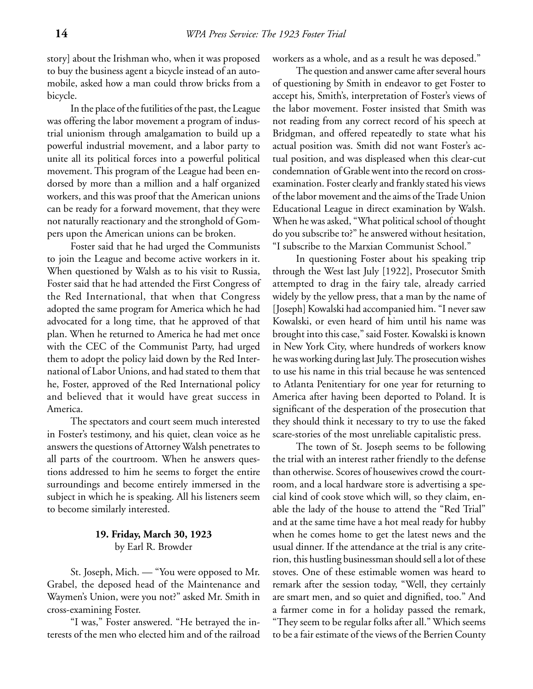story] about the Irishman who, when it was proposed to buy the business agent a bicycle instead of an automobile, asked how a man could throw bricks from a bicycle.

In the place of the futilities of the past, the League was offering the labor movement a program of industrial unionism through amalgamation to build up a powerful industrial movement, and a labor party to unite all its political forces into a powerful political movement. This program of the League had been endorsed by more than a million and a half organized workers, and this was proof that the American unions can be ready for a forward movement, that they were not naturally reactionary and the stronghold of Gompers upon the American unions can be broken.

Foster said that he had urged the Communists to join the League and become active workers in it. When questioned by Walsh as to his visit to Russia, Foster said that he had attended the First Congress of the Red International, that when that Congress adopted the same program for America which he had advocated for a long time, that he approved of that plan. When he returned to America he had met once with the CEC of the Communist Party, had urged them to adopt the policy laid down by the Red International of Labor Unions, and had stated to them that he, Foster, approved of the Red International policy and believed that it would have great success in America.

The spectators and court seem much interested in Foster's testimony, and his quiet, clean voice as he answers the questions of Attorney Walsh penetrates to all parts of the courtroom. When he answers questions addressed to him he seems to forget the entire surroundings and become entirely immersed in the subject in which he is speaking. All his listeners seem to become similarly interested.

# **19. Friday, March 30, 1923** by Earl R. Browder

St. Joseph, Mich. — "You were opposed to Mr. Grabel, the deposed head of the Maintenance and Waymen's Union, were you not?" asked Mr. Smith in cross-examining Foster.

"I was," Foster answered. "He betrayed the interests of the men who elected him and of the railroad workers as a whole, and as a result he was deposed."

The question and answer came after several hours of questioning by Smith in endeavor to get Foster to accept his, Smith's, interpretation of Foster's views of the labor movement. Foster insisted that Smith was not reading from any correct record of his speech at Bridgman, and offered repeatedly to state what his actual position was. Smith did not want Foster's actual position, and was displeased when this clear-cut condemnation of Grable went into the record on crossexamination. Foster clearly and frankly stated his views of the labor movement and the aims of the Trade Union Educational League in direct examination by Walsh. When he was asked, "What political school of thought do you subscribe to?" he answered without hesitation, "I subscribe to the Marxian Communist School."

In questioning Foster about his speaking trip through the West last July [1922], Prosecutor Smith attempted to drag in the fairy tale, already carried widely by the yellow press, that a man by the name of [Joseph] Kowalski had accompanied him. "I never saw Kowalski, or even heard of him until his name was brought into this case," said Foster. Kowalski is known in New York City, where hundreds of workers know he was working during last July. The prosecution wishes to use his name in this trial because he was sentenced to Atlanta Penitentiary for one year for returning to America after having been deported to Poland. It is significant of the desperation of the prosecution that they should think it necessary to try to use the faked scare-stories of the most unreliable capitalistic press.

The town of St. Joseph seems to be following the trial with an interest rather friendly to the defense than otherwise. Scores of housewives crowd the courtroom, and a local hardware store is advertising a special kind of cook stove which will, so they claim, enable the lady of the house to attend the "Red Trial" and at the same time have a hot meal ready for hubby when he comes home to get the latest news and the usual dinner. If the attendance at the trial is any criterion, this hustling businessman should sell a lot of these stoves. One of these estimable women was heard to remark after the session today, "Well, they certainly are smart men, and so quiet and dignified, too." And a farmer come in for a holiday passed the remark, "They seem to be regular folks after all." Which seems to be a fair estimate of the views of the Berrien County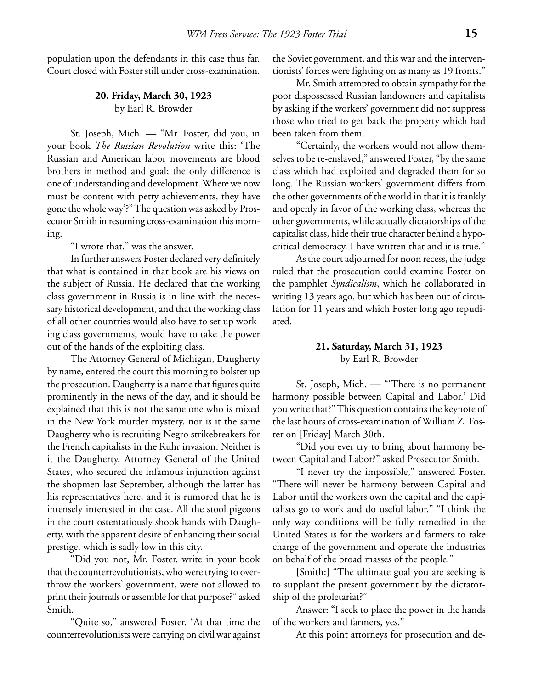population upon the defendants in this case thus far. Court closed with Foster still under cross-examination.

# **20. Friday, March 30, 1923** by Earl R. Browder

St. Joseph, Mich. — "Mr. Foster, did you, in your book *The Russian Revolution* write this: 'The Russian and American labor movements are blood brothers in method and goal; the only difference is one of understanding and development. Where we now must be content with petty achievements, they have gone the whole way'?" The question was asked by Prosecutor Smith in resuming cross-examination this morning.

"I wrote that," was the answer.

In further answers Foster declared very definitely that what is contained in that book are his views on the subject of Russia. He declared that the working class government in Russia is in line with the necessary historical development, and that the working class of all other countries would also have to set up working class governments, would have to take the power out of the hands of the exploiting class.

The Attorney General of Michigan, Daugherty by name, entered the court this morning to bolster up the prosecution. Daugherty is a name that figures quite prominently in the news of the day, and it should be explained that this is not the same one who is mixed in the New York murder mystery, nor is it the same Daugherty who is recruiting Negro strikebreakers for the French capitalists in the Ruhr invasion. Neither is it the Daugherty, Attorney General of the United States, who secured the infamous injunction against the shopmen last September, although the latter has his representatives here, and it is rumored that he is intensely interested in the case. All the stool pigeons in the court ostentatiously shook hands with Daugherty, with the apparent desire of enhancing their social prestige, which is sadly low in this city.

"Did you not, Mr. Foster, write in your book that the counterrevolutionists, who were trying to overthrow the workers' government, were not allowed to print their journals or assemble for that purpose?" asked Smith.

"Quite so," answered Foster. "At that time the counterrevolutionists were carrying on civil war against the Soviet government, and this war and the interventionists' forces were fighting on as many as 19 fronts."

Mr. Smith attempted to obtain sympathy for the poor dispossessed Russian landowners and capitalists by asking if the workers' government did not suppress those who tried to get back the property which had been taken from them.

"Certainly, the workers would not allow themselves to be re-enslaved," answered Foster, "by the same class which had exploited and degraded them for so long. The Russian workers' government differs from the other governments of the world in that it is frankly and openly in favor of the working class, whereas the other governments, while actually dictatorships of the capitalist class, hide their true character behind a hypocritical democracy. I have written that and it is true."

As the court adjourned for noon recess, the judge ruled that the prosecution could examine Foster on the pamphlet *Syndicalism*, which he collaborated in writing 13 years ago, but which has been out of circulation for 11 years and which Foster long ago repudiated.

# **21. Saturday, March 31, 1923** by Earl R. Browder

St. Joseph, Mich. — "'There is no permanent harmony possible between Capital and Labor.' Did you write that?" This question contains the keynote of the last hours of cross-examination of William Z. Foster on [Friday] March 30th.

"Did you ever try to bring about harmony between Capital and Labor?" asked Prosecutor Smith.

"I never try the impossible," answered Foster. "There will never be harmony between Capital and Labor until the workers own the capital and the capitalists go to work and do useful labor." "I think the only way conditions will be fully remedied in the United States is for the workers and farmers to take charge of the government and operate the industries on behalf of the broad masses of the people."

[Smith:] "The ultimate goal you are seeking is to supplant the present government by the dictatorship of the proletariat?"

Answer: "I seek to place the power in the hands of the workers and farmers, yes."

At this point attorneys for prosecution and de-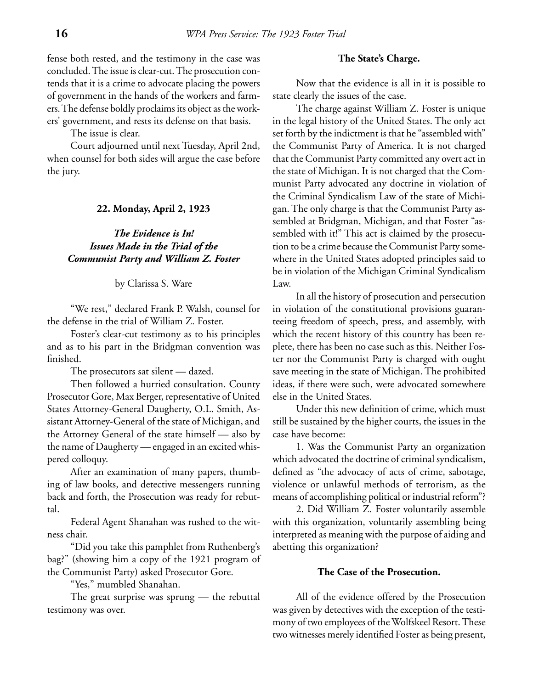fense both rested, and the testimony in the case was concluded. The issue is clear-cut. The prosecution contends that it is a crime to advocate placing the powers of government in the hands of the workers and farmers. The defense boldly proclaims its object as the workers' government, and rests its defense on that basis.

The issue is clear.

Court adjourned until next Tuesday, April 2nd, when counsel for both sides will argue the case before the jury.

### **22. Monday, April 2, 1923**

# *The Evidence is In! Issues Made in the Trial of the Communist Party and William Z. Foster*

by Clarissa S. Ware

"We rest," declared Frank P. Walsh, counsel for the defense in the trial of William Z. Foster.

Foster's clear-cut testimony as to his principles and as to his part in the Bridgman convention was finished.

The prosecutors sat silent — dazed.

Then followed a hurried consultation. County Prosecutor Gore, Max Berger, representative of United States Attorney-General Daugherty, O.L. Smith, Assistant Attorney-General of the state of Michigan, and the Attorney General of the state himself — also by the name of Daugherty — engaged in an excited whispered colloquy.

After an examination of many papers, thumbing of law books, and detective messengers running back and forth, the Prosecution was ready for rebuttal.

Federal Agent Shanahan was rushed to the witness chair.

"Did you take this pamphlet from Ruthenberg's bag?" (showing him a copy of the 1921 program of the Communist Party) asked Prosecutor Gore.

"Yes," mumbled Shanahan.

The great surprise was sprung — the rebuttal testimony was over.

### **The State's Charge.**

Now that the evidence is all in it is possible to state clearly the issues of the case.

The charge against William Z. Foster is unique in the legal history of the United States. The only act set forth by the indictment is that he "assembled with" the Communist Party of America. It is not charged that the Communist Party committed any overt act in the state of Michigan. It is not charged that the Communist Party advocated any doctrine in violation of the Criminal Syndicalism Law of the state of Michigan. The only charge is that the Communist Party assembled at Bridgman, Michigan, and that Foster "assembled with it!" This act is claimed by the prosecution to be a crime because the Communist Party somewhere in the United States adopted principles said to be in violation of the Michigan Criminal Syndicalism Law.

In all the history of prosecution and persecution in violation of the constitutional provisions guaranteeing freedom of speech, press, and assembly, with which the recent history of this country has been replete, there has been no case such as this. Neither Foster nor the Communist Party is charged with ought save meeting in the state of Michigan. The prohibited ideas, if there were such, were advocated somewhere else in the United States.

Under this new definition of crime, which must still be sustained by the higher courts, the issues in the case have become:

1. Was the Communist Party an organization which advocated the doctrine of criminal syndicalism, defined as "the advocacy of acts of crime, sabotage, violence or unlawful methods of terrorism, as the means of accomplishing political or industrial reform"?

2. Did William Z. Foster voluntarily assemble with this organization, voluntarily assembling being interpreted as meaning with the purpose of aiding and abetting this organization?

### **The Case of the Prosecution.**

All of the evidence offered by the Prosecution was given by detectives with the exception of the testimony of two employees of the Wolfskeel Resort. These two witnesses merely identified Foster as being present,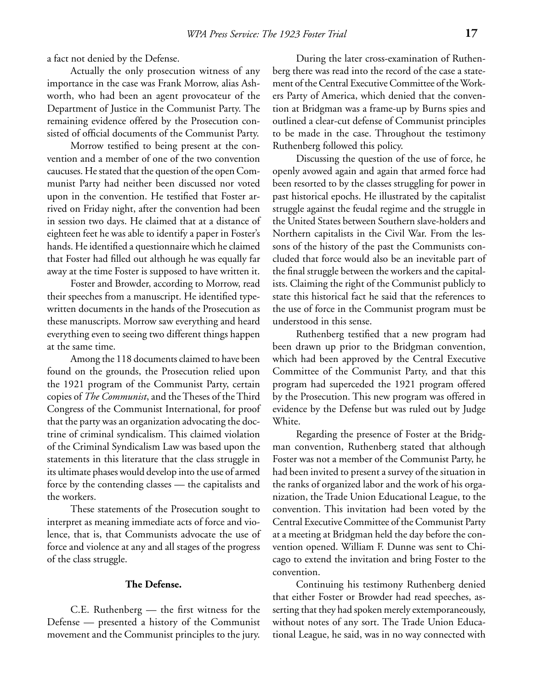a fact not denied by the Defense.

Actually the only prosecution witness of any importance in the case was Frank Morrow, alias Ashworth, who had been an agent provocateur of the Department of Justice in the Communist Party. The remaining evidence offered by the Prosecution consisted of official documents of the Communist Party.

Morrow testified to being present at the convention and a member of one of the two convention caucuses. He stated that the question of the open Communist Party had neither been discussed nor voted upon in the convention. He testified that Foster arrived on Friday night, after the convention had been in session two days. He claimed that at a distance of eighteen feet he was able to identify a paper in Foster's hands. He identified a questionnaire which he claimed that Foster had filled out although he was equally far away at the time Foster is supposed to have written it.

Foster and Browder, according to Morrow, read their speeches from a manuscript. He identified typewritten documents in the hands of the Prosecution as these manuscripts. Morrow saw everything and heard everything even to seeing two different things happen at the same time.

Among the 118 documents claimed to have been found on the grounds, the Prosecution relied upon the 1921 program of the Communist Party, certain copies of *The Communist*, and the Theses of the Third Congress of the Communist International, for proof that the party was an organization advocating the doctrine of criminal syndicalism. This claimed violation of the Criminal Syndicalism Law was based upon the statements in this literature that the class struggle in its ultimate phases would develop into the use of armed force by the contending classes — the capitalists and the workers.

These statements of the Prosecution sought to interpret as meaning immediate acts of force and violence, that is, that Communists advocate the use of force and violence at any and all stages of the progress of the class struggle.

### **The Defense.**

C.E. Ruthenberg — the first witness for the Defense — presented a history of the Communist movement and the Communist principles to the jury.

During the later cross-examination of Ruthenberg there was read into the record of the case a statement of the Central Executive Committee of the Workers Party of America, which denied that the convention at Bridgman was a frame-up by Burns spies and outlined a clear-cut defense of Communist principles to be made in the case. Throughout the testimony Ruthenberg followed this policy.

Discussing the question of the use of force, he openly avowed again and again that armed force had been resorted to by the classes struggling for power in past historical epochs. He illustrated by the capitalist struggle against the feudal regime and the struggle in the United States between Southern slave-holders and Northern capitalists in the Civil War. From the lessons of the history of the past the Communists concluded that force would also be an inevitable part of the final struggle between the workers and the capitalists. Claiming the right of the Communist publicly to state this historical fact he said that the references to the use of force in the Communist program must be understood in this sense.

Ruthenberg testified that a new program had been drawn up prior to the Bridgman convention, which had been approved by the Central Executive Committee of the Communist Party, and that this program had superceded the 1921 program offered by the Prosecution. This new program was offered in evidence by the Defense but was ruled out by Judge White.

Regarding the presence of Foster at the Bridgman convention, Ruthenberg stated that although Foster was not a member of the Communist Party, he had been invited to present a survey of the situation in the ranks of organized labor and the work of his organization, the Trade Union Educational League, to the convention. This invitation had been voted by the Central Executive Committee of the Communist Party at a meeting at Bridgman held the day before the convention opened. William F. Dunne was sent to Chicago to extend the invitation and bring Foster to the convention.

Continuing his testimony Ruthenberg denied that either Foster or Browder had read speeches, asserting that they had spoken merely extemporaneously, without notes of any sort. The Trade Union Educational League, he said, was in no way connected with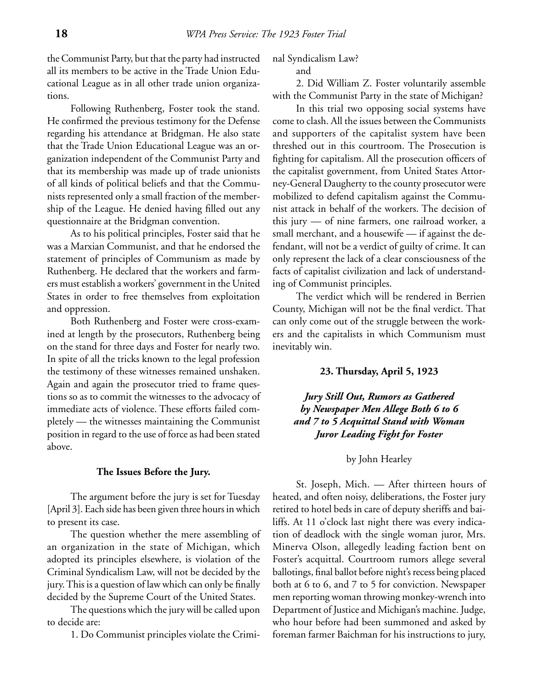the Communist Party, but that the party had instructed all its members to be active in the Trade Union Educational League as in all other trade union organizations.

Following Ruthenberg, Foster took the stand. He confirmed the previous testimony for the Defense regarding his attendance at Bridgman. He also state that the Trade Union Educational League was an organization independent of the Communist Party and that its membership was made up of trade unionists of all kinds of political beliefs and that the Communists represented only a small fraction of the membership of the League. He denied having filled out any questionnaire at the Bridgman convention.

As to his political principles, Foster said that he was a Marxian Communist, and that he endorsed the statement of principles of Communism as made by Ruthenberg. He declared that the workers and farmers must establish a workers' government in the United States in order to free themselves from exploitation and oppression.

Both Ruthenberg and Foster were cross-examined at length by the prosecutors, Ruthenberg being on the stand for three days and Foster for nearly two. In spite of all the tricks known to the legal profession the testimony of these witnesses remained unshaken. Again and again the prosecutor tried to frame questions so as to commit the witnesses to the advocacy of immediate acts of violence. These efforts failed completely — the witnesses maintaining the Communist position in regard to the use of force as had been stated above.

### **The Issues Before the Jury.**

The argument before the jury is set for Tuesday [April 3]. Each side has been given three hours in which to present its case.

The question whether the mere assembling of an organization in the state of Michigan, which adopted its principles elsewhere, is violation of the Criminal Syndicalism Law, will not be decided by the jury. This is a question of law which can only be finally decided by the Supreme Court of the United States.

The questions which the jury will be called upon to decide are:

1. Do Communist principles violate the Crimi-

nal Syndicalism Law?

and

2. Did William Z. Foster voluntarily assemble with the Communist Party in the state of Michigan?

In this trial two opposing social systems have come to clash. All the issues between the Communists and supporters of the capitalist system have been threshed out in this courtroom. The Prosecution is fighting for capitalism. All the prosecution officers of the capitalist government, from United States Attorney-General Daugherty to the county prosecutor were mobilized to defend capitalism against the Communist attack in behalf of the workers. The decision of this jury — of nine farmers, one railroad worker, a small merchant, and a housewife — if against the defendant, will not be a verdict of guilty of crime. It can only represent the lack of a clear consciousness of the facts of capitalist civilization and lack of understanding of Communist principles.

The verdict which will be rendered in Berrien County, Michigan will not be the final verdict. That can only come out of the struggle between the workers and the capitalists in which Communism must inevitably win.

### **23. Thursday, April 5, 1923**

*Jury Still Out, Rumors as Gathered by Newspaper Men Allege Both 6 to 6 and 7 to 5 Acquittal Stand with Woman Juror Leading Fight for Foster*

### by John Hearley

St. Joseph, Mich. — After thirteen hours of heated, and often noisy, deliberations, the Foster jury retired to hotel beds in care of deputy sheriffs and bailiffs. At 11 o'clock last night there was every indication of deadlock with the single woman juror, Mrs. Minerva Olson, allegedly leading faction bent on Foster's acquittal. Courtroom rumors allege several ballotings, final ballot before night's recess being placed both at 6 to 6, and 7 to 5 for conviction. Newspaper men reporting woman throwing monkey-wrench into Department of Justice and Michigan's machine. Judge, who hour before had been summoned and asked by foreman farmer Baichman for his instructions to jury,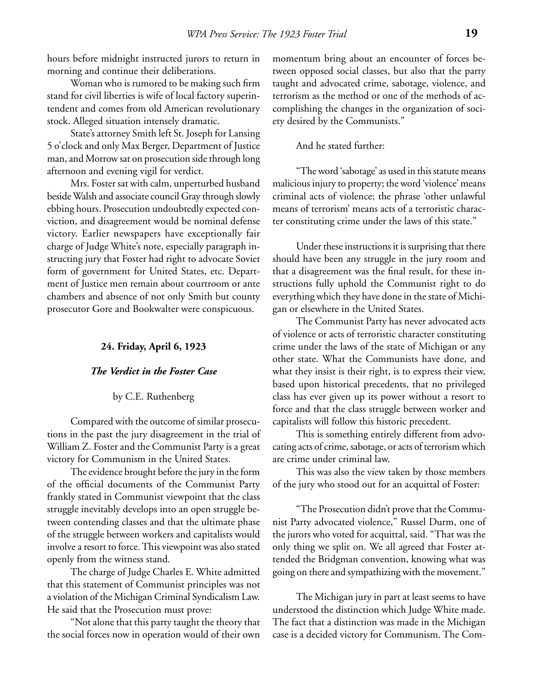hours before midnight instructed jurors to return in morning and continue their deliberations.

Woman who is rumored to be making such firm stand for civil liberties is wife of local factory superintendent and comes from old American revolutionary stock. Alleged situation intensely dramatic.

State's attorney Smith left St. Joseph for Lansing 5 o'clock and only Max Berger, Department of Justice man, and Morrow sat on prosecution side through long afternoon and evening vigil for verdict.

Mrs. Foster sat with calm, unperturbed husband beside Walsh and associate council Gray through slowly ebbing hours. Prosecution undoubtedly expected conviction, and disagreement would be nominal defense victory. Earlier newspapers have exceptionally fair charge of Judge White's note, especially paragraph instructing jury that Foster had right to advocate Soviet form of government for United States, etc. Department of Justice men remain about courtroom or ante chambers and absence of not only Smith but county prosecutor Gore and Bookwalter were conspicuous.

### **24. Friday, April 6, 1923**

#### *The Verdict in the Foster Case*

### by C.E. Ruthenberg

Compared with the outcome of similar prosecutions in the past the jury disagreement in the trial of William Z. Foster and the Communist Party is a great victory for Communism in the United States.

The evidence brought before the jury in the form of the official documents of the Communist Party frankly stated in Communist viewpoint that the class struggle inevitably develops into an open struggle between contending classes and that the ultimate phase of the struggle between workers and capitalists would involve a resort to force. This viewpoint was also stated openly from the witness stand.

The charge of Judge Charles E. White admitted that this statement of Communist principles was not a violation of the Michigan Criminal Syndicalism Law. He said that the Prosecution must prove:

"Not alone that this party taught the theory that the social forces now in operation would of their own

momentum bring about an encounter of forces between opposed social classes, but also that the party taught and advocated crime, sabotage, violence, and terrorism as the method or one of the methods of accomplishing the changes in the organization of society desired by the Communists."

### And he stated further:

"The word 'sabotage' as used in this statute means malicious injury to property; the word 'violence' means criminal acts of violence; the phrase 'other unlawful means of terrorism' means acts of a terroristic character constituting crime under the laws of this state."

Under these instructions it is surprising that there should have been any struggle in the jury room and that a disagreement was the final result, for these instructions fully uphold the Communist right to do everything which they have done in the state of Michigan or elsewhere in the United States.

The Communist Party has never advocated acts of violence or acts of terroristic character constituting crime under the laws of the state of Michigan or any other state. What the Communists have done, and what they insist is their right, is to express their view, based upon historical precedents, that no privileged class has ever given up its power without a resort to force and that the class struggle between worker and capitalists will follow this historic precedent.

This is something entirely different from advocating acts of crime, sabotage, or acts of terrorism which are crime under criminal law.

This was also the view taken by those members of the jury who stood out for an acquittal of Foster:

"The Prosecution didn't prove that the Communist Party advocated violence," Russel Durm, one of the jurors who voted for acquittal, said. "That was the only thing we split on. We all agreed that Foster attended the Bridgman convention, knowing what was going on there and sympathizing with the movement."

The Michigan jury in part at least seems to have understood the distinction which Judge White made. The fact that a distinction was made in the Michigan case is a decided victory for Communism. The Com-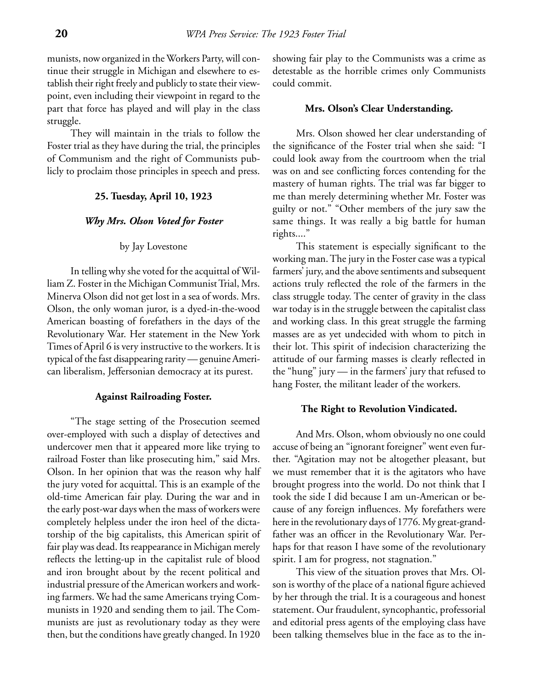munists, now organized in the Workers Party, will continue their struggle in Michigan and elsewhere to establish their right freely and publicly to state their viewpoint, even including their viewpoint in regard to the part that force has played and will play in the class struggle.

They will maintain in the trials to follow the Foster trial as they have during the trial, the principles of Communism and the right of Communists publicly to proclaim those principles in speech and press.

#### **25. Tuesday, April 10, 1923**

#### *Why Mrs. Olson Voted for Foster*

### by Jay Lovestone

In telling why she voted for the acquittal of William Z. Foster in the Michigan Communist Trial, Mrs. Minerva Olson did not get lost in a sea of words. Mrs. Olson, the only woman juror, is a dyed-in-the-wood American boasting of forefathers in the days of the Revolutionary War. Her statement in the New York Times of April 6 is very instructive to the workers. It is typical of the fast disappearing rarity — genuine American liberalism, Jeffersonian democracy at its purest.

### **Against Railroading Foster.**

"The stage setting of the Prosecution seemed over-employed with such a display of detectives and undercover men that it appeared more like trying to railroad Foster than like prosecuting him," said Mrs. Olson. In her opinion that was the reason why half the jury voted for acquittal. This is an example of the old-time American fair play. During the war and in the early post-war days when the mass of workers were completely helpless under the iron heel of the dictatorship of the big capitalists, this American spirit of fair play was dead. Its reappearance in Michigan merely reflects the letting-up in the capitalist rule of blood and iron brought about by the recent political and industrial pressure of the American workers and working farmers. We had the same Americans trying Communists in 1920 and sending them to jail. The Communists are just as revolutionary today as they were then, but the conditions have greatly changed. In 1920

showing fair play to the Communists was a crime as detestable as the horrible crimes only Communists could commit.

#### **Mrs. Olson's Clear Understanding.**

Mrs. Olson showed her clear understanding of the significance of the Foster trial when she said: "I could look away from the courtroom when the trial was on and see conflicting forces contending for the mastery of human rights. The trial was far bigger to me than merely determining whether Mr. Foster was guilty or not." "Other members of the jury saw the same things. It was really a big battle for human rights...."

This statement is especially significant to the working man. The jury in the Foster case was a typical farmers' jury, and the above sentiments and subsequent actions truly reflected the role of the farmers in the class struggle today. The center of gravity in the class war today is in the struggle between the capitalist class and working class. In this great struggle the farming masses are as yet undecided with whom to pitch in their lot. This spirit of indecision characterizing the attitude of our farming masses is clearly reflected in the "hung" jury — in the farmers' jury that refused to hang Foster, the militant leader of the workers.

### **The Right to Revolution Vindicated.**

And Mrs. Olson, whom obviously no one could accuse of being an "ignorant foreigner" went even further. "Agitation may not be altogether pleasant, but we must remember that it is the agitators who have brought progress into the world. Do not think that I took the side I did because I am un-American or because of any foreign influences. My forefathers were here in the revolutionary days of 1776. My great-grandfather was an officer in the Revolutionary War. Perhaps for that reason I have some of the revolutionary spirit. I am for progress, not stagnation."

This view of the situation proves that Mrs. Olson is worthy of the place of a national figure achieved by her through the trial. It is a courageous and honest statement. Our fraudulent, syncophantic, professorial and editorial press agents of the employing class have been talking themselves blue in the face as to the in